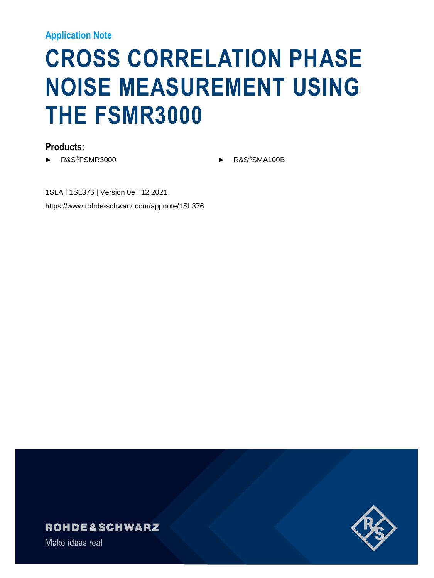#### **Application Note**

# **CROSS CORRELATION PHASE NOISE MEASUREMENT USING THE FSMR3000**

#### **Products:**

- - ► R&S®FSMR3000 ► R&S®SMA100B

1SLA | 1SL376 | Version 0e | 12.2021 https://www.rohde-schwarz.com/appnote/1SL376

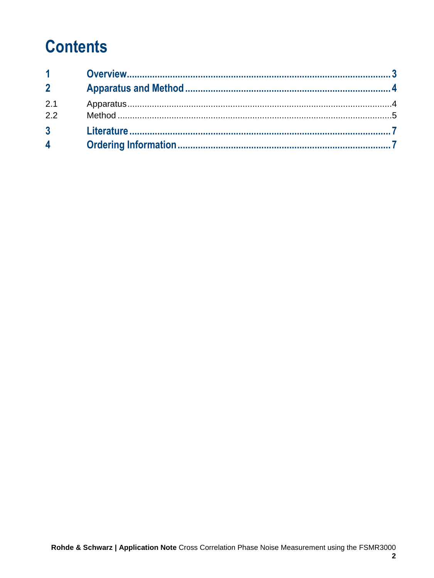# **Contents**

| $\overline{2}$ |  |
|----------------|--|
| 2.1            |  |
| 2.2            |  |
| $3^{\circ}$    |  |
| $\overline{4}$ |  |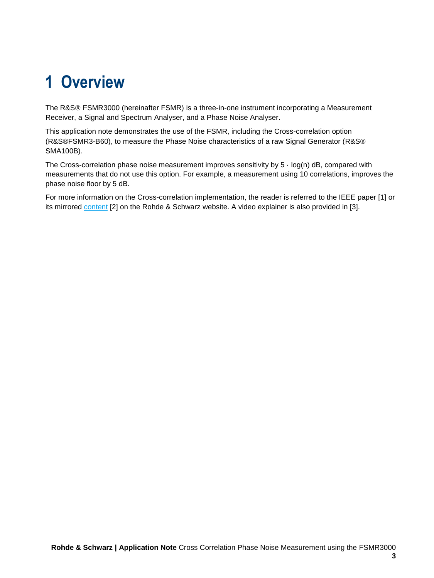### <span id="page-2-0"></span>**1 Overview**

The R&S<sup>®</sup> FSMR3000 (hereinafter FSMR) is a three-in-one instrument incorporating a Measurement Receiver, a Signal and Spectrum Analyser, and a Phase Noise Analyser.

This application note demonstrates the use of the FSMR, including the Cross-correlation option (R&S®FSMR3-B60), to measure the Phase Noise characteristics of a raw Signal Generator (R&S SMA100B).

The Cross-correlation phase noise measurement improves sensitivity by 5 · log(n) dB, compared with measurements that do not use this option. For example, a measurement using 10 correlations, improves the phase noise floor by 5 dB.

For more information on the Cross-correlation implementation, the reader is referred to the IEEE paper [1] or its mirrored [content](https://www.rohde-schwarz.com/us/applications/a-1-mhz-to-50-ghz-direct-down-conversion-phase-noise-analyzer-with-cross-correlation-application-card_56279-231872.html) [2] on the Rohde & Schwarz website. A video explainer is also provided in [3].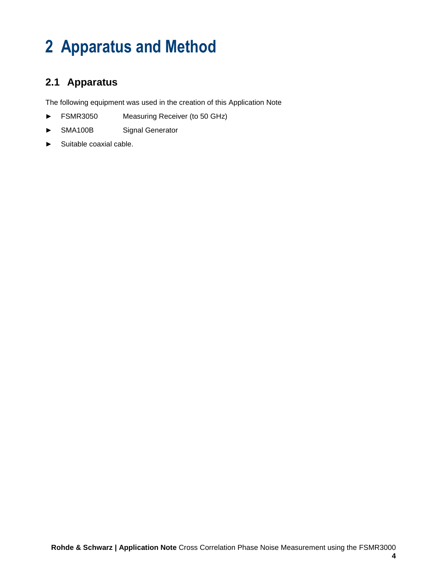# <span id="page-3-0"></span>**2 Apparatus and Method**

#### <span id="page-3-1"></span>**2.1 Apparatus**

The following equipment was used in the creation of this Application Note

- ► FSMR3050 Measuring Receiver (to 50 GHz)
- ► SMA100B Signal Generator
- ► Suitable coaxial cable.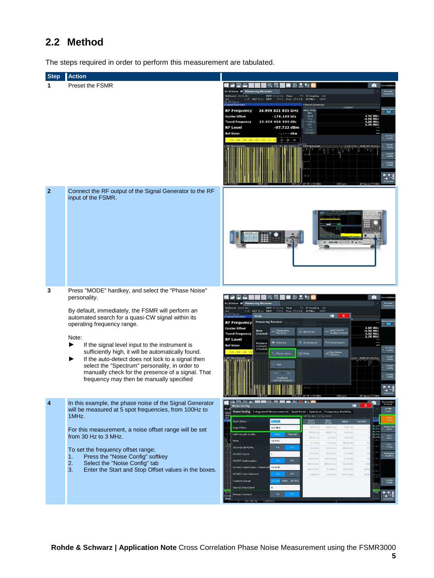#### <span id="page-4-0"></span>**2.2 Method**

The steps required in order to perform this measurement are tabulated.

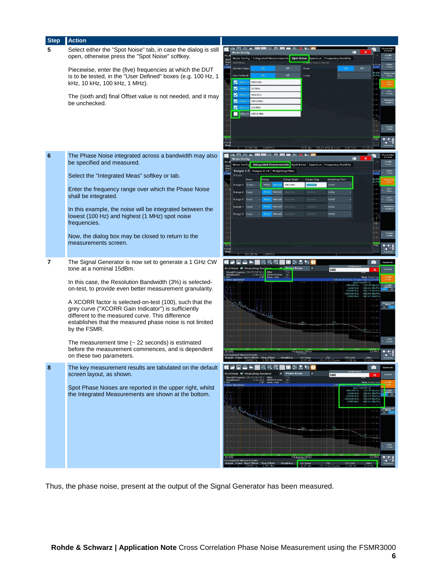| <b>Step</b> | <b>Action</b>                                                                                                                                                                                                                                  |                                                                                                                                                                                                                                                                                                                                                                                |
|-------------|------------------------------------------------------------------------------------------------------------------------------------------------------------------------------------------------------------------------------------------------|--------------------------------------------------------------------------------------------------------------------------------------------------------------------------------------------------------------------------------------------------------------------------------------------------------------------------------------------------------------------------------|
| 5           | Select either the "Spot Noise" tab, in case the dialog is still<br>open, otherwise press the "Spot Noise" softkey.                                                                                                                             | <b>Noise Config</b><br><b>Frequency Stability</b><br>Noise Config   Integrated Measurements<br>Spot Noise Spurious                                                                                                                                                                                                                                                             |
|             | Piecewise, enter the (five) frequencies at which the DUT<br>is to be tested, in the "User Defined" boxes (e.g. 100 Hz, 1<br>kHz, 10 kHz, 100 kHz, 1 MHz).                                                                                      | Spot Noise<br>Sigr<br>Att<br>Off<br><b>Decade Edges</b><br>Show<br>Off<br><b>User Defined</b><br>On<br>Trace<br>Ø<br>100.0 Hz<br>Offset<br>☑<br>$1.0$ kHz<br><b>Offset</b>                                                                                                                                                                                                     |
|             | The (sixth and) final Offset value is not needed, and it may<br>be unchecked.                                                                                                                                                                  | <b>Rpur</b><br>Confie<br>Offset<br>10.0 kHz<br><b>V</b> offset<br>100.0 kHz<br>Frequen<br>Stabilit<br>Offset<br>$1.0$ MHz<br>Diffset 6 100.0 MHz<br>$\mathbf{m} \cdot \mathbf{m}$<br>$2$ Int<br>$\cdot$ .                                                                                                                                                                      |
| 6           | The Phase Noise integrated across a bandwidth may also<br>be specified and measured.<br>Select the "Integrated Meas" softkey or tab.                                                                                                           | ะ En ⊓ะ∡<br><b>Noise Config</b><br>Mul<br><b>Integrated Measurements</b><br><b>Noise Config</b><br>Spot Noise Spurious<br><b>Frequency Stability</b><br>sign<br>Att<br>Ranges 1-5 Ranges 6-10 Weighting Filter<br>Noise<br>Confie<br>Ranger<br>Range Start<br>Weighting Filter<br>Range Stop<br>tange<br>Show<br>100.0 Hz<br>Meas Manua<br>NONE<br>Range 1<br>Trace<br>1.0 MHz |
|             | Enter the frequency range over which the Phase Noise<br>shall be integrated.                                                                                                                                                                   | Spot<br>Noise<br>Manual<br>30.0 kHz<br>3.0 MHz<br>NONE<br>Range <sub>2</sub><br>Meas<br><b>Spur</b><br>Confie<br>30.0 KHz<br>3.0 MHz<br><b>Manual</b><br>NONE<br>Range 3<br>Manual<br>30.0 kHz<br>3.0 MHz<br>NONE<br>Frequence<br>Stability<br>Range 4                                                                                                                         |
|             | In this example, the noise will be integrated between the<br>lowest (100 Hz) and highest (1 MHz) spot noise<br>frequencies.                                                                                                                    | 30.0 kHz<br>$3.0$ MHz<br>NONE<br>Manual                                                                                                                                                                                                                                                                                                                                        |
|             | Now, the dialog box may be closed to return to the<br>measurements screen.                                                                                                                                                                     | $\blacksquare\cdot\blacksquare$<br>Inte<br>- ⊓∽                                                                                                                                                                                                                                                                                                                                |
| 7           | The Signal Generator is now set to generate a 1 GHz CW<br>tone at a nominal 15dBm.                                                                                                                                                             | 回び<br>$\frac{1}{100}$ $\frac{1}{2}$<br>Noise<br>$\pmb{\times}$<br><b>Measuring Red</b><br><b>Res Av</b><br>100<br>987 MH<br>RBW<br>XCORR Factor                                                                                                                                                                                                                                |
|             | In this case, the Resolution Bandwidth (3%) is selected-<br>on-test, to provide even better measurement granularity.                                                                                                                           |                                                                                                                                                                                                                                                                                                                                                                                |
|             | A XCORR factor is selected-on-test (100), such that the<br>grey curve ("XCORR Gain Indicator") is sufficiently<br>different to the measured curve. This difference<br>establishes that the measured phase noise is not limited<br>by the FSMR. |                                                                                                                                                                                                                                                                                                                                                                                |
|             | The measurement time $(-22$ seconds) is estimated<br>before the measurement commences, and is dependent<br>on these two parameters.                                                                                                            | requency Offse                                                                                                                                                                                                                                                                                                                                                                 |
| 8           | The key measurement results are tabulated on the default<br>screen layout, as shown.                                                                                                                                                           | HE<br>ГOТ<br>$\pmb{\times}$<br><b>Measuring Receiver</b><br>100<br>Res AV<br>$\boldsymbol{\times}$<br>ncy \$99,999987 MHz RBW<br>14,86 dDm XCORR Factor<br>0 dB Meas Time<br>100                                                                                                                                                                                               |
|             | Spot Phase Noises are reported in the upper right, whilst<br>the Integrated Measurements are shown at the bottom.                                                                                                                              | deas Phase Noise<br>•1C<br>100,000 Hz<br>8.49 dBc/H<br>1.000 kHz<br>89.81 dBc/Hz<br>10,000 kHz<br>\$1.17 dBc/Hz<br>100,000 kHz<br>1\$0.54 dBc/Hz<br>1.000 MHz<br>62.41 dBc/Hz<br>On<br>140.<br>Noten<br>Confle                                                                                                                                                                 |
|             |                                                                                                                                                                                                                                                | Frequency Offse<br>$\mathbf{m}$ + $\mathbf{m}$ + $\mathbf{r}$<br>30.0112<br>3.0 MHz<br>⊹∎∼i<br>2 Integrated Measurements                                                                                                                                                                                                                                                       |
|             |                                                                                                                                                                                                                                                | tange Trace Start Offset<br>Stop Offset<br>Weighting<br><b>Int Noise</b><br>PM<br>84.10932.13 pm<br><b>FM / AM</b><br>Jitter<br>1114 h                                                                                                                                                                                                                                         |

Thus, the phase noise, present at the output of the Signal Generator has been measured.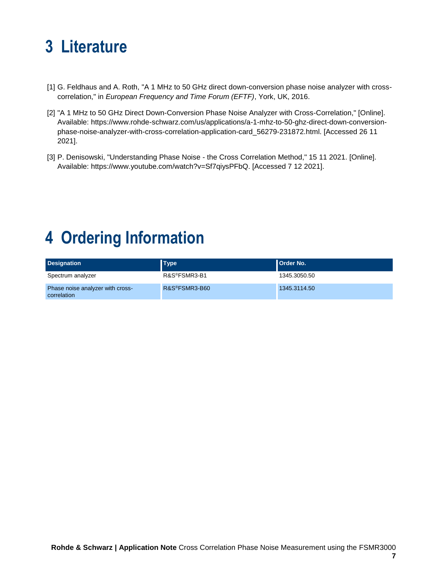## <span id="page-6-0"></span>**3 Literature**

- [1] G. Feldhaus and A. Roth, "A 1 MHz to 50 GHz direct down-conversion phase noise analyzer with crosscorrelation," in *European Frequency and Time Forum (EFTF)*, York, UK, 2016.
- [2] "A 1 MHz to 50 GHz Direct Down-Conversion Phase Noise Analyzer with Cross-Correlation," [Online]. Available: https://www.rohde-schwarz.com/us/applications/a-1-mhz-to-50-ghz-direct-down-conversionphase-noise-analyzer-with-cross-correlation-application-card\_56279-231872.html. [Accessed 26 11 2021].
- [3] P. Denisowski, "Understanding Phase Noise the Cross Correlation Method," 15 11 2021. [Online]. Available: https://www.youtube.com/watch?v=Sf7qiysPFbQ. [Accessed 7 12 2021].

### <span id="page-6-1"></span>**4 Ordering Information**

| <b>Designation</b>                              | <b>Type</b>                | <b>Order No.</b> |
|-------------------------------------------------|----------------------------|------------------|
| Spectrum analyzer                               | R&S <sup>®</sup> FSMR3-B1  | 1345.3050.50     |
| Phase noise analyzer with cross-<br>correlation | R&S <sup>®</sup> FSMR3-B60 | 1345.3114.50     |